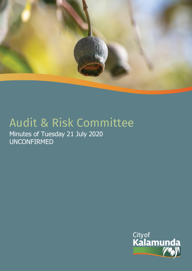

# Audit & Risk Committee

Minutes of Tuesday 21 July 2020 UNCONFIRMED

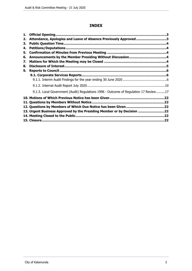# **INDEX**

| 2. | Attendance, Apologies and Leave of Absence Previously Approved 3                     |    |
|----|--------------------------------------------------------------------------------------|----|
| З. |                                                                                      |    |
| 4. |                                                                                      |    |
| 5. |                                                                                      |    |
| 6. |                                                                                      |    |
| 7. |                                                                                      |    |
| 8. |                                                                                      |    |
| 9. |                                                                                      |    |
|    |                                                                                      |    |
|    |                                                                                      |    |
|    |                                                                                      |    |
|    | 9.1.3. Local Government (Audit) Regulations 1996 - Outcome of Regulation 17 Review17 |    |
|    |                                                                                      |    |
|    |                                                                                      |    |
|    |                                                                                      |    |
|    | 13. Urgent Business Approved by the Presiding Member or by Decision 22               |    |
|    |                                                                                      |    |
|    |                                                                                      | 22 |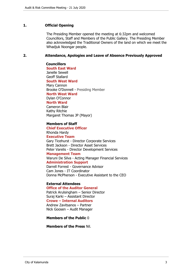#### <span id="page-2-0"></span>**1. Official Opening**

The Presiding Member opened the meeting at 6:32pm and welcomed Councillors, Staff and Members of the Public Gallery. The Presiding Member also acknowledged the Traditional Owners of the land on which we meet the Whadjuk Noongar people.

#### <span id="page-2-1"></span>**2. Attendance, Apologies and Leave of Absence Previously Approved**

**Councillors South East Ward**  Janelle Sewell Geoff Stallard **South West Ward** Mary Cannon Brooke O'Donnell - Presiding Member **North West Ward** Dylan O'Connor **North Ward**

Cameron Blair Kathy Ritchie Margaret Thomas JP (Mayor)

#### **Members of Staff**

**Chief Executive Officer** Rhonda Hardy **Executive Team** Gary Ticehurst - Director Corporate Services Brett Jackson - Director Asset Services Peter Varelis - Director Development Services

## **Management Team**

Waruni De Silva - Acting Manager Financial Services

# **Administration Support**

Darrell Forrest - Governance Advisor Cam Jones - IT Coordinator Donna McPherson - Executive Assistant to the CEO

## **External Attendees**

**Office of the Auditor General**  Patrick Arulsingham – Senior Director Suraj Karki – Assistant Director **Crowe – Internal Auditors**  Andrew Zavitsanos – Partner Nick Goosen – Audit Manager

**Members of the Public** 0

**Members of the Press** Nil.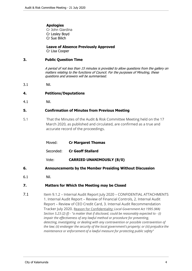## **Apologies**

Cr John Giardina Cr Lesley Boyd Cr Sue Bilich

**Leave of Absence Previously Approved**

Cr Lisa Cooper

## <span id="page-3-0"></span>**3. Public Question Time**

*A period of not less than 15 minutes is provided to allow questions from the gallery on matters relating to the functions of Council. For the purposes of Minuting, these questions and answers will be summarised.*

3.1 Nil.

## <span id="page-3-1"></span>**4. Petitions/Deputations**

4.1 Nil.

## <span id="page-3-2"></span>**5. Confirmation of Minutes from Previous Meeting**

- 5.1 That the Minutes of the Audit & Risk Committee Meeting held on the 17 March 2020, as published and circulated, are confirmed as a true and accurate record of the proceedings.
	- Moved: **Cr Margaret Thomas**
	- Seconded: **Cr Geoff Stallard**
	- Vote: **CARRIED UNANIMOUSLY (8/0)**
- <span id="page-3-3"></span>**6. Announcements by the Member Presiding Without Discussion**
- 6.1 Nil.

## <span id="page-3-4"></span>**7. Matters for Which the Meeting may be Closed**

7.1 Item 9.1.2 - Internal Audit Report July 2020 - CONFIDENTIAL ATTACHMENTS 1. Internal Audit Report – Review of Financial Controls, 2. Internal Audit Report – Review of CEO Credit Card, 3. Internal Audit Recommendation Tracker July 2020. Reason for Confidentiality: *Local Government Act 1995 (WA) Section 5.23 (2) (f) - "a matter that if disclosed, could be reasonably expected to - (i) impair the effectiveness of any lawful method or procedure for preventing, detecting, investigating or dealing with any contravention or possible contravention of the law; (ii) endanger the security of the local government's property; or (iii) prejudice the maintenance or enforcement of a lawful measure for protecting public safety"*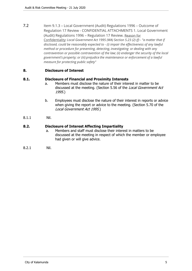7.2 Item 9.1.3 - Local Government (Audit) Regulations 1996 - Outcome of Regulation 17 Review - CONFIDENTIAL ATTACHMENTS 1. Local Government (Audit) Regulations 1996 – Regulation 17 Review. Reason for Confidentiality: *Local Government Act 1995 (WA) Section 5.23 (2) (f) - "a matter that if disclosed, could be reasonably expected to - (i) impair the effectiveness of any lawful method or procedure for preventing, detecting, investigating or dealing with any contravention or possible contravention of the law; (ii) endanger the security of the local government's property; or (iii) prejudice the maintenance or enforcement of a lawful measure for protecting public safety"*

## <span id="page-4-0"></span>**8. Disclosure of Interest**

## **8.1. Disclosure of Financial and Proximity Interests**

- a. Members must disclose the nature of their interest in matter to be discussed at the meeting. (Section 5.56 of the *Local Government Act 1995*.)
- b. Employees must disclose the nature of their interest in reports or advice when giving the report or advice to the meeting. (Section 5.70 of the *Local Government Act 1995*.)
- 8.1.1 Nil.

## **8.2. Disclosure of Interest Affecting Impartiality**

- a. Members and staff must disclose their interest in matters to be discussed at the meeting in respect of which the member or employee had given or will give advice.
- 8.2.1 Nil.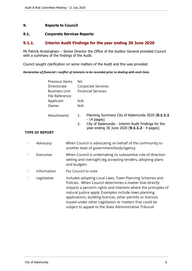## <span id="page-5-0"></span>**9. Reports to Council**

### <span id="page-5-1"></span>**9.1. Corporate Services Reports**

## <span id="page-5-2"></span>**9.1.1. Interim Audit Findings for the year ending 30 June 2020**

Mr Patrick Arulsingham – Senior Director the Office of the Auditor General provided Council with a summary of the findings of the Audit.

Council sought clarification on some matters of the Audit and this was provided.

#### *Declaration of financial / conflict of interests to be recorded prior to dealing with each item.*

| Previous Items | Nil.                                                   |  |  |
|----------------|--------------------------------------------------------|--|--|
| Directorate    | Corporate Services                                     |  |  |
| Business Unit  | <b>Financial Services</b>                              |  |  |
| File Reference |                                                        |  |  |
| Applicant      | N/A                                                    |  |  |
| Owner          | N/A                                                    |  |  |
|                |                                                        |  |  |
| Attachments    | Planning Summary City of Kalamunda 2020 [9.1.1.1<br>1. |  |  |

- 14 pages] 2. City of Kalamunda - Interim Audit Findings for the year ending 30 June 2020 [**9.1.1.2** - 4 pages]

## **TYPE OF REPORT**

| Advocacy    | When Council is advocating on behalf of the community to<br>another level of government/body/agency                                                                                                                                                                                                                                                                                                                                |
|-------------|------------------------------------------------------------------------------------------------------------------------------------------------------------------------------------------------------------------------------------------------------------------------------------------------------------------------------------------------------------------------------------------------------------------------------------|
| Executive   | When Council is undertaking its substantive role of direction<br>setting and oversight (eg accepting tenders, adopting plans<br>and budgets                                                                                                                                                                                                                                                                                        |
| Information | For Council to note                                                                                                                                                                                                                                                                                                                                                                                                                |
| Legislative | Includes adopting Local Laws, Town Planning Schemes and<br>Policies. When Council determines a matter that directly<br>impacts a person's rights and interests where the principles of<br>natural justice apply. Examples include town planning<br>applications, building licences, other permits or licences<br>issued under other Legislation or matters that could be<br>subject to appeal to the State Administrative Tribunal |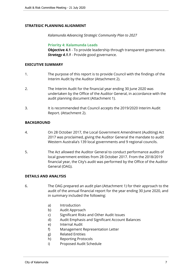## **STRATEGIC PLANNING ALIGNMENT**

*Kalamunda Advancing Strategic Community Plan to 2027*

**Priority 4: Kalamunda Leads**

**Objective 4.1** - To provide leadership through transparent governance. *Strategy 4.1.1* - Provide good governance.

## **EXECUTIVE SUMMARY**

- 1. The purpose of this report is to provide Council with the findings of the Interim Audit by the Auditor (Attachment 2).
- 2. The Interim Audit for the financial year ending 30 June 2020 was undertaken by the Office of the Auditor General, in accordance with the audit planning document (Attachment 1).
- 3. It is recommended that Council accepts the 2019/2020 Interim Audit Report. (Attachment 2).

## **BACKGROUND**

- 4. On 28 October 2017, the Local Government Amendment (Auditing) Act 2017 was proclaimed, giving the Auditor General the mandate to audit Western Australia's 139 local governments and 9 regional councils.
- 5. The Act allowed the Auditor General to conduct performance audits of local government entities from 28 October 2017. From the 2018/2019 financial year, the City's audit was performed by the Office of the Auditor General (OAG).

## **DETAILS AND ANALYSIS**

- 6. The OAG prepared an audit plan (Attachment 1) for their approach to the audit of the annual financial report for the year ending 30 June 2020, and in summary included the following:
	- a) Introduction
	- b) Audit Approach
	- c) Significant Risks and Other Audit Issues
	- d) Audit Emphasis and Significant Account Balances
	- e) Internal Audit
	- f) Management Representation Letter
	- g) Related Entities
	- h) Reporting Protocols
	- i) Proposed Audit Schedule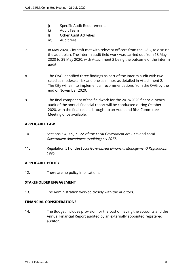- j) Specific Audit Requirements
- k) Audit Team
- l) Other Audit Activities
- m) Audit fees
- 7. In May 2020, City staff met with relevant officers from the OAG, to discuss the audit plan. The interim audit field work was carried out from 18 May 2020 to 29 May 2020, with Attachment 2 being the outcome of the interim audit.
- 8. The OAG identified three findings as part of the interim audit with two rated as moderate risk and one as minor, as detailed in Attachment 2. The City will aim to implement all recommendations from the OAG by the end of November 2020.
- 9. The final component of the fieldwork for the 2019/2020 financial year's audit of the annual financial report will be conducted during October 2020, with the final results brought to an Audit and Risk Committee Meeting once available.

## **APPLICABLE LAW**

- 10. Sections 6.4, 7.9, 7.12A of the *Local Government Act 1995* and *Local Government Amendment (Auditing) Act 2017*.
- 11. Regulation 51 of the *Local Government (Financial Management) Regulations 1996.*

## **APPLICABLE POLICY**

12. There are no policy implications.

## **STAKEHOLDER ENGAGEMENT**

13. The Administration worked closely with the Auditors.

## **FINANCIAL CONSIDERATIONS**

14. The Budget includes provision for the cost of having the accounts and the Annual Financial Report audited by an externally appointed registered auditor.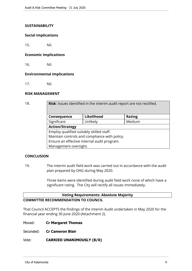## **SUSTAINABILITY**

#### **Social Implications**

15. Nil.

#### **Economic Implications**

16. Nil.

## **Environmental Implications**

17. Nil.

## **RISK MANAGEMENT**

18. **Risk**: Issues identified in the interim audit report are not rectified. **Consequence Likelihood Rating** Significant | Unlikely | Medium **Action/Strategy** Employ qualified suitably skilled staff. Maintain controls and compliance with policy. Ensure an effective internal audit program. Management oversight.

## **CONCLUSION**

19. The interim audit field work was carried out in accordance with the audit plan prepared by OAG during May 2020.

> Three items were identified during audit field work none of which have a significant rating. The City will rectify all issues immediately.

## **Voting Requirements: Absolute Majority COMMITTEE RECOMMENDATION TO COUNCIL**

That Council ACCEPTS the findings of the Interim Audit undertaken in May 2020 for the financial year ending 30 June 2020 (Attachment 2).

Moved: **Cr Margaret Thomas**

Seconded: **Cr Cameron Blair**

#### Vote: **CARRIED UNANIMOUSLY (8/0)**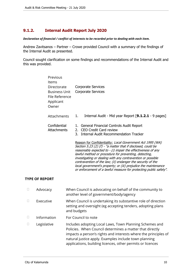# <span id="page-9-0"></span>**9.1.2. Internal Audit Report July 2020**

*Declaration of financial / conflict of interests to be recorded prior to dealing with each item.*

Andrew Zavitsanos – Partner – Crowe provided Council with a summary of the findings of the Internal Audit as presented.

Council sought clarification on some findings and recommendations of the Internal Audit and this was provided.

| Previous<br>Items<br>Directorate<br><b>Business Unit</b><br>File Reference<br>Applicant<br>Owner | Corporate Services<br><b>Corporate Services</b>                                                                                                                                                                                                                                                                                                                                                                                                                                                                                                                                                                                                                           |
|--------------------------------------------------------------------------------------------------|---------------------------------------------------------------------------------------------------------------------------------------------------------------------------------------------------------------------------------------------------------------------------------------------------------------------------------------------------------------------------------------------------------------------------------------------------------------------------------------------------------------------------------------------------------------------------------------------------------------------------------------------------------------------------|
| Attachments                                                                                      | Internal Audit - Mid year Report [9.1.2.1 - 9 pages]<br>1.                                                                                                                                                                                                                                                                                                                                                                                                                                                                                                                                                                                                                |
| Confidential<br><b>Attachments</b>                                                               | 1. General Financial Controls Audit Report<br><b>CEO Credit Card review</b><br>$2_{-}$<br><b>Internal Audit Recommendation Tracker</b><br>3.<br>Reason for Confidentiality: Local Government Act 1995 (WA)<br>Section 5.23 (2) (f) - "a matter that if disclosed, could be<br>reasonably expected to - (i) impair the effectiveness of any<br>lawful method or procedure for preventing, detecting,<br>investigating or dealing with any contravention or possible<br>contravention of the law; (ii) endanger the security of the<br>local government's property; or (iii) prejudice the maintenance<br>or enforcement of a lawful measure for protecting public safety". |

## **TYPE OF REPORT**

| Advocacy    | When Council is advocating on behalf of the community to<br>another level of government/body/agency                                                                                                                                                                                                           |
|-------------|---------------------------------------------------------------------------------------------------------------------------------------------------------------------------------------------------------------------------------------------------------------------------------------------------------------|
| Executive   | When Council is undertaking its substantive role of direction<br>setting and oversight (eg accepting tenders, adopting plans<br>and budgets                                                                                                                                                                   |
| Information | For Council to note                                                                                                                                                                                                                                                                                           |
| Legislative | Includes adopting Local Laws, Town Planning Schemes and<br>Policies. When Council determines a matter that directly<br>impacts a person's rights and interests where the principles of<br>natural justice apply. Examples include town planning<br>applications, building licences, other permits or licences |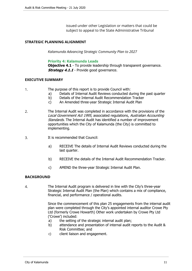issued under other Legislation or matters that could be subject to appeal to the State Administrative Tribunal

## **STRATEGIC PLANNING ALIGNMENT**

*Kalamunda Advancing Strategic Community Plan to 2027*

#### **Priority 4: Kalamunda Leads**

**Objective 4.1** - To provide leadership through transparent governance. *Strategy 4.1.1* - Provide good governance.

#### **EXECUTIVE SUMMARY**

- 1. The purpose of this report is to provide Council with:
	- a) Details of Internal Audit Reviews conducted during the past quarter
	- b) Details of the Internal Audit Recommendation Tracker
	- c) An Amended three-year Strategic Internal Audit Plan
- 2. The Internal Audit was completed in accordance with the provisions of the *Local Government Act 1995,* associated regulations, *Australian Accounting Standards.* The Internal Audit has identified a number of improvement opportunities which the City of Kalamunda (the City) is committed to implementing.
- 3. It is recommended that Council:
	- a) RECEIVE The details of Internal Audit Reviews conducted during the last quarter.
	- b) RECEIVE the details of the Internal Audit Recommendation Tracker.
	- c) AMEND the three-year Strategic Internal Audit Plan.

#### **BACKGROUND**

4. The Internal Audit program is delivered in line with the City's three-year Strategic Internal Audit Plan (the Plan) which contains a mix of compliance, financial, and performance / operational audits.

> Since the commencement of this plan 25 engagements from the internal audit plan were completed through the City's appointed internal auditor Crowe Pty Ltd (formerly Crowe Howarth) Other work undertaken by Crowe Pty Ltd ('Crowe') included:

- a) the setting of the strategic internal audit plan;
- b) attendance and presentation of internal audit reports to the Audit & Risk Committee; and
- c) client liaison and engagement.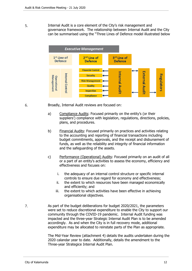5. Internal Audit is a core element of the City's risk management and governance framework. The relationship between Internal Audit and the City can be summarised using the "Three Lines of Defence model illustrated below

| <b>Executive Management</b>                   |                                                                                                                     |                               |                |            |  |
|-----------------------------------------------|---------------------------------------------------------------------------------------------------------------------|-------------------------------|----------------|------------|--|
| $1st$ Line of<br><b>Defence</b>               | 2 <sup>nd</sup> Line of<br><b>Defence</b>                                                                           | 3rd Line of<br><b>Defence</b> |                |            |  |
| nternal Control<br>Vlanagement<br>Operational | <b>Financial Control</b><br><b>Security</b><br><b>Risk Management</b><br>Quality<br><b>Inspection</b><br>Compliance | nternal<br><b>Audit</b>       | xterna<br>gait | Regulators |  |

6. Broadly, Internal Audit reviews are focused on:

- a) Compliance Audits: Focused primarily on the entity's (or their suppliers') compliance with legislation, regulations, directions, policies, plans, and procedures.
- b) Financial Audits: Focused primarily on practices and activities relating to the accounting and reporting of financial transactions including budget commitments, approvals, and the receipt and disbursement of funds, as well as the reliability and integrity of financial information and the safeguarding of the assets.
- c) Performance (Operational) Audits: Focused primarily on an audit of all or a part of an entity's activities to assess the economy, efficiency and effectiveness and focuses on:
	- i. the adequacy of an internal control structure or specific internal controls to ensure due regard for economy and effectiveness;
	- ii. the extent to which resources have been managed economically and efficiently; and
	- iii. the extent to which activities have been effective in achieving organisational objectives.
- 7. As part of the budget deliberations for budget 2020/2021, the parameters were set to reduce discretional expenditure to enable the City to support our community through the COVID-19 pandemic. Internal Audit funding was impacted and the three-year Strategic Internal Audit Plan is to be amended accordingly. As and when the City is in full recovery mode, additional expenditure may be allocated to reinstate parts of the Plan as appropriate.

The Mid-Year Review (attachment 4) details the audits undertaken during the 2020 calandar year to date. Additionally, details the amendment to the Three-year Strategice Internal Audit Plan.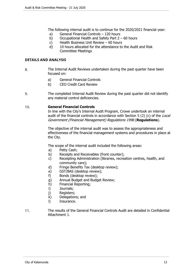The following internal audit is to continue for the 2020/2021 financial year:

- a) General Financial Controls 120 hours
- b) Occupational Health and Safety Part 2 60 hours
- c) Health Business Unit Review 60 hours
- d) 10 hours allocated for the attendance to the Audit and Risk Committee Meetings

#### **DETAILS AND ANALYSIS**

- 8. The Internal Audit Reviews undertaken during the past quarter have been focused on:
	- a) General Financial Controls
	- b) CEO Credit Card Review
- 9. The completed Internal Audit Review during the past quarter did not identify any material control deficiencies.

## 10. **General Financial Controls**

In line with the City's Internal Audit Program, Crowe undertook an internal audit of the financial controls in accordance with Section 5 (2) (c) of the *Local Government (Financial Management) Regulations 1996* (**Regulations**).

The objective of the internal audit was to assess the appropriateness and effectiveness of the financial management systems and procedures in place at the City.

The scope of the internal audit included the following areas:

- a) Petty Cash;
- b) Receipts and Receivables (front counter);
- c) Receipting Administration (libraries, recreation centres, health, and community care);
- d) Fringe Benefits Tax (desktop review);
- e) GST/BAS (desktop review);
- f) Bonds (desktop review);
- g) Annual Budget and Budget Review;
- h) Financial Reporting;
- i) Journals;
- j) Registers;
- k) Delegations; and
- l) Insurance.
- 11. The results of the General Financial Controls Audit are detailed in Confidential Attachment 1.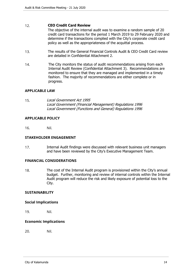#### 12. **CEO Credit Card Review**

The objective of the internal audit was to examine a random sample of 20 credit card transactions for the period 1 March 2019 to 29 February 2020 and determine if the transactions complied with the City's corporate credit card policy as well as the appropriateness of the acquittal process.

- 13. The results of the General Financial Controls Audit & CEO Credit Card review are detailed in Confidential Attachment 2.
- 14. The City monitors the status of audit recommendations arising from each Internal Audit Review (Confidential Attachment 3). Recommendations are monitored to ensure that they are managed and implemented in a timely fashion. The majority of recommendations are either complete or in progress.

## **APPLICABLE LAW**

15. *Local Government Act 1995 Local Government (Financial Management) Regulations 1996 Local Government (Functions and General) Regulations 1996*

## **APPLICABLE POLICY**

16. Nil.

#### **STAKEHOLDER ENGAGEMENT**

17. Internal Audit findings were discussed with relevant business unit managers and have been reviewed by the City's Executive Management Team.

#### **FINANCIAL CONSIDERATIONS**

18. The cost of the Internal Audit program is provisioned within the City's annual budget. Further, monitoring and review of internal controls within the Internal Audit program will reduce the risk and likely exposure of potential loss to the City.

#### **SUSTAINABILITY**

#### **Social Implications**

19. Nil.

#### **Economic Implications**

20. Nil.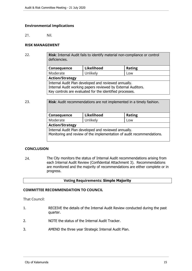## **Environmental Implications**

21. Nil.

## **RISK MANAGEMENT**

22. **Risk**: Internal Audit fails to identify material non-compliance or control deficiencies.

| Consequence                                                  | Likelihood | <b>Rating</b> |  |  |
|--------------------------------------------------------------|------------|---------------|--|--|
| Unlikely<br>Moderate<br>Low                                  |            |               |  |  |
| <b>Action/Strategy</b>                                       |            |               |  |  |
| Internal Audit Plan developed and reviewed annually.         |            |               |  |  |
| Internal Audit working papers reviewed by External Auditors. |            |               |  |  |
| Key controls are evaluated for the identified processes.     |            |               |  |  |

23. **Risk**: Audit recommendations are not implemented in a timely fashion. **Consequence Likelihood Rating** Moderate | Unlikely | Low **Action/Strategy** Internal Audit Plan developed and reviewed annually. Monitoring and review of the implementation of audit recommendations.

#### **CONCLUSION**

24. The City monitors the status of Internal Audit recommendations arising from each Internal Audit Review (Confidential Attachment 3). Recommendations are monitored and the majority of recommendations are either complete or in progress.

#### **Voting Requirements: Simple Majority**

#### **COMMITTEE RECOMMENDATION TO COUNCIL**

That Council:

- 1. RECEIVE the details of the Internal Audit Review conducted during the past quarter.
- 2. NOTE the status of the Internal Audit Tracker.
- 3. AMEND the three year Strategic Internal Audit Plan.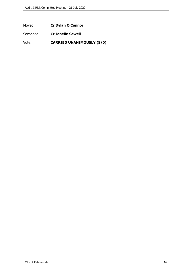Moved: **Cr Dylan O'Connor**

Seconded: **Cr Janelle Sewell**

Vote: **CARRIED UNANIMOUSLY (8/0)**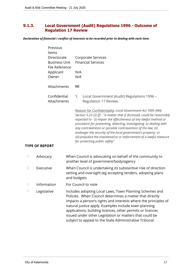# <span id="page-16-0"></span>**9.1.3. Local Government (Audit) Regulations 1996 - Outcome of Regulation 17 Review**

*Declaration of financial / conflict of interests to be recorded prior to dealing with each item.*

|        | Previous<br>Items<br>Directorate<br><b>Business Unit</b><br>File Reference<br>Applicant<br>Owner | <b>Corporate Services</b><br><b>Financial Services</b><br>N/A<br>N/A                                                                                                                                                                                                                                                                                                                                                                                                                                                     |  |
|--------|--------------------------------------------------------------------------------------------------|--------------------------------------------------------------------------------------------------------------------------------------------------------------------------------------------------------------------------------------------------------------------------------------------------------------------------------------------------------------------------------------------------------------------------------------------------------------------------------------------------------------------------|--|
|        | Attachments                                                                                      | Nil                                                                                                                                                                                                                                                                                                                                                                                                                                                                                                                      |  |
|        | Confidential<br>Attachments                                                                      | Local Government (Audit) Regulations 1996 -<br>1.<br>Regulation 17 Review.                                                                                                                                                                                                                                                                                                                                                                                                                                               |  |
|        | <b>TYPE OF REPORT</b>                                                                            | Reason for Confidentiality: Local Government Act 1995 (WA)<br>Section 5.23 (2) (f) - "a matter that if disclosed, could be reasonably<br>expected to - (i) impair the effectiveness of any lawful method or<br>procedure for preventing, detecting, investigating or dealing with<br>any contravention or possible contravention of the law; (ii)<br>endanger the security of the local government's property; or<br>(iii) prejudice the maintenance or enforcement of a lawful measure<br>for protecting public safety" |  |
| $\Box$ | Advocacy                                                                                         | When Council is advocating on behalf of the community to<br>another level of government/body/agency                                                                                                                                                                                                                                                                                                                                                                                                                      |  |
| $\Box$ | Executive                                                                                        | When Council is undertaking its substantive role of direction<br>setting and oversight (eg accepting tenders, adopting plans<br>and budgets                                                                                                                                                                                                                                                                                                                                                                              |  |
| Ш      | Information                                                                                      | For Council to note                                                                                                                                                                                                                                                                                                                                                                                                                                                                                                      |  |
|        | Legislative                                                                                      | Includes adopting Local Laws, Town Planning Schemes and<br>Policies. When Council determines a matter that directly<br>impacts a person's rights and interests where the principles of<br>natural justice apply. Examples include town planning<br>applications, building licences, other permits or licences<br>issued under other Legislation or matters that could be<br>subject to appeal to the State Administrative Tribunal                                                                                       |  |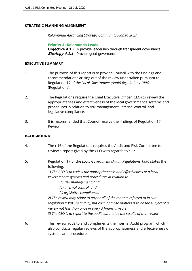## **STRATEGIC PLANNING ALIGNMENT**

*Kalamunda Advancing Strategic Community Plan to 2027*

**Priority 4: Kalamunda Leads Objective 4.1** - To provide leadership through transparent governance. **Strategy 4.1.1** - Provide good governance.

#### **EXECUTIVE SUMMARY**

- 1. The purpose of this report is to provide Council with the findings and recommendations arising out of the review undertaken pursuant to Regulation 17 of *the Local Government (Audit) Regulations 1996* (Regulations).
- 2. The Regulations require the Chief Executive Officer (CEO) to review the appropriateness and effectiveness of the local government's systems and procedures in relation to risk management, internal control, and legislative compliance.
- 3. It is recommended that Council receive the findings of Regulation 17 Review.

#### **BACKGROUND**

- 4. The r 16 of the Regulations requires the Audit and Risk Committee to review a report given by the CEO with regards to r 17.
- 5. Regulation 17 of the *Local Government (Audit) Regulations 1996* states the following:

*1) The CEO is to review the appropriateness and effectiveness of a local government's systems and procedures in relation to –*

- *(a) risk management; and*
- *(b) internal control; and*
- *(c) legislative compliance.*

*2) The review may relate to any or all of the matters referred to in subregulation (1)(a), (b) and (c), but each of those matters is to be the subject of a review not less than once in every 3 financial years.*

*3) The CEO is to report to the audit committee the results of that review*

6. This review adds to and compliments the Internal Audit program which also conducts regular reviews of the appropriateness and effectiveness of systems and procedures.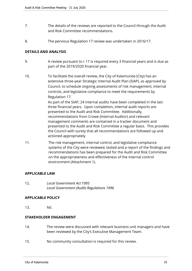- 7. The details of the reviews are reported to the Council through the Audit and Risk Committee recommendations.
- 8. The pervious Regulation 17 review was undertaken in 2016/17.

## **DETAILS AND ANALYSIS**

- 9. A review pursuant to r 17 is required every 3 financial years and is due as part of the 2019/2020 financial year.
- 10. To facilitate the overall review, the City of Kalamunda (City) has an extensive three-year Strategic Internal Audit Plan (SIAP), as approved by Council, to schedule ongoing assessments of risk management, internal controls, and legislative compliance to meet the requirements by Regulation 17. As part of the SIAP, 24 internal audits have been completed in the last three financial years. Upon completion, internal audit reports are presented to the Audit and Risk Committee. Additionally, recommendations from Crowe (Internal Auditor) and relevant management comments are contained in a tracker document and presented to the Audit and Risk Committee a regular basis. This provides the Council with surety that all recommendations are followed up and actioned appropriately
- 11. The risk management, internal control, and legislative compliance systems of the City were reviewed, tested and a report of the findings and recommendations has been prepared for the Audit and Risk Committee on the appropriateness and effectiveness of the internal control environment (Attachment 1).

## **APPLICABLE LAW**

12. *Local Government Act 1995 Local Government (Audit) Regulations 1996*

## **APPLICABLE POLICY**

13. Nil.

## **STAKEHOLDER ENGAGEMENT**

- 14. The review were discussed with relevant business unit managers and have been reviewed by the City's Executive Management Team.
- 15. No community consultation is required for this review.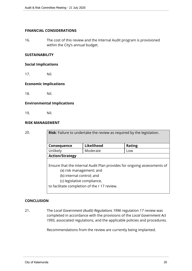## **FINANCIAL CONSIDERATIONS**

16. The cost of this review and the Internal Audit program is provisioned within the City's annual budget.

## **SUSTAINABILITY**

#### **Social Implications**

17. Nil.

## **Economic Implications**

18. Nil.

#### **Environmental Implications**

19. Nil.

## **RISK MANAGEMENT**

| 20. | <b>Risk:</b> Failure to undertake the review as required by the legislation.                                                                                                                                    |            |               |  |  |
|-----|-----------------------------------------------------------------------------------------------------------------------------------------------------------------------------------------------------------------|------------|---------------|--|--|
|     | Consequence                                                                                                                                                                                                     | Likelihood | <b>Rating</b> |  |  |
|     | Unlikely                                                                                                                                                                                                        | Moderate   | Low           |  |  |
|     | <b>Action/Strategy</b>                                                                                                                                                                                          |            |               |  |  |
|     | Ensure that the Internal Audit Plan provides for ongoing assessments of<br>(a) risk management; and<br>(b) internal control; and<br>(c) legislative compliance,<br>to facilitate completion of the r 17 review. |            |               |  |  |

## **CONCLUSION**

21. The *Local Government (Audit) Regulations 1996* regulation 17 review was completed in accordance with the provisions of the *Local Government Act 1995,* associated regulations*,* and the applicable policies and procedures*.*

Recommendations from the review are currently being implanted.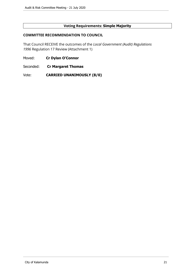# **Voting Requirements: Simple Majority**

## **COMMITTEE RECOMMENDATION TO COUNCIL**

That Council RECEIVE the outcomes of the *Local Government (Audit) Regulations 1996* Regulation 17 Review (Attachment 1)

- Moved: **Cr Dylan O'Connor**
- Seconded: **Cr Margaret Thomas**

Vote: **CARRIED UNANIMOUSLY (8/0)**